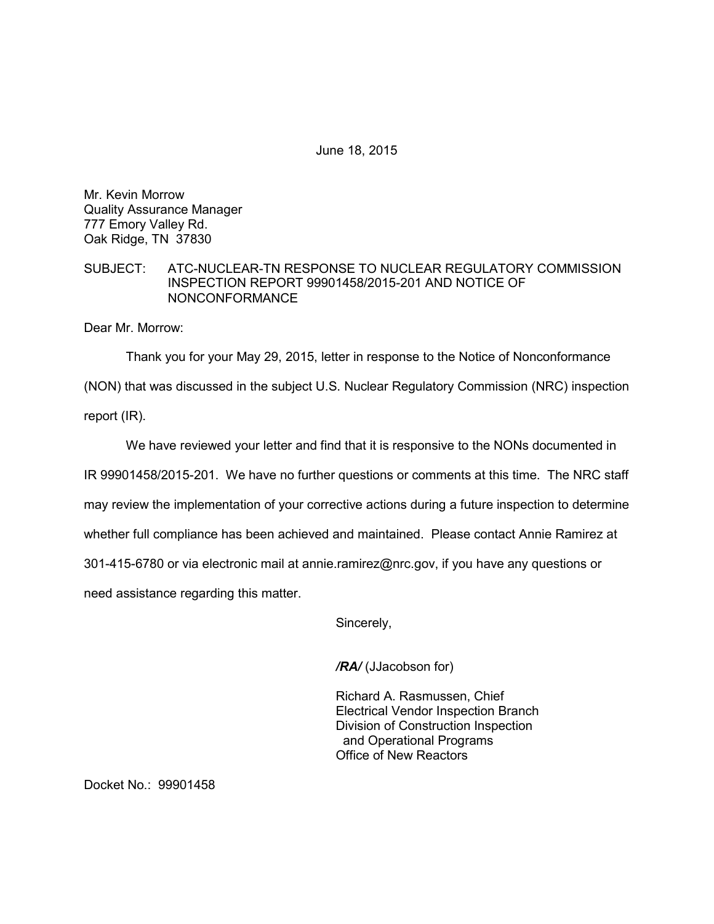June 18, 2015

Mr. Kevin Morrow Quality Assurance Manager 777 Emory Valley Rd. Oak Ridge, TN 37830

## SUBJECT: ATC-NUCLEAR-TN RESPONSE TO NUCLEAR REGULATORY COMMISSION INSPECTION REPORT 99901458/2015-201 AND NOTICE OF NONCONFORMANCE

Dear Mr. Morrow:

Thank you for your May 29, 2015, letter in response to the Notice of Nonconformance

(NON) that was discussed in the subject U.S. Nuclear Regulatory Commission (NRC) inspection

report (IR).

We have reviewed your letter and find that it is responsive to the NONs documented in IR 99901458/2015-201. We have no further questions or comments at this time. The NRC staff may review the implementation of your corrective actions during a future inspection to determine whether full compliance has been achieved and maintained. Please contact Annie Ramirez at 301-415-6780 or via electronic mail at annie.ramirez@nrc.gov, if you have any questions or need assistance regarding this matter.

Sincerely,

*/RA/* (JJacobson for)

Richard A. Rasmussen, Chief Electrical Vendor Inspection Branch Division of Construction Inspection and Operational Programs Office of New Reactors

Docket No.: 99901458